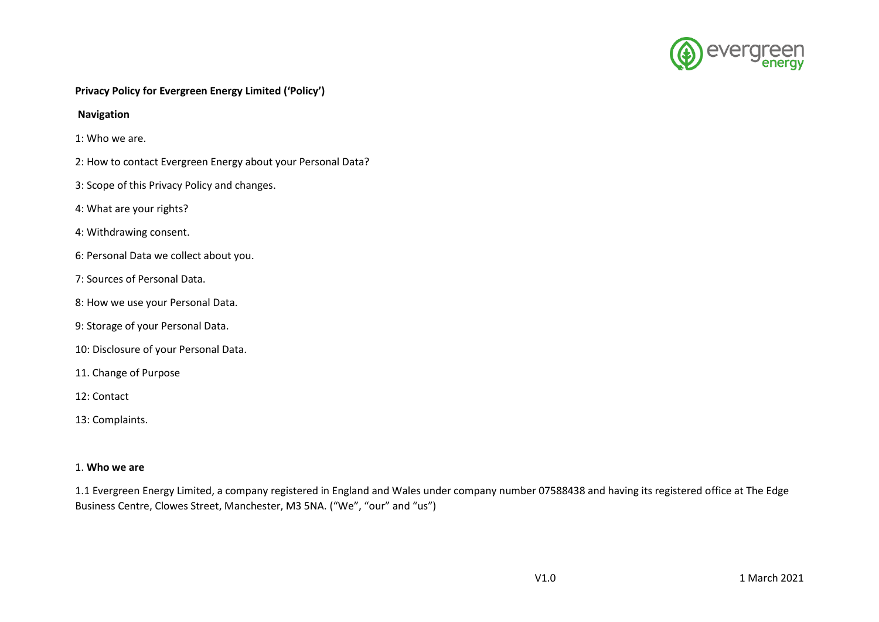

# **Privacy Policy for Evergreen Energy Limited ('Policy')**

### **Navigation**

- 1: Who we are.
- 2: How to contact Evergreen Energy about your Personal Data?
- 3: Scope of this Privacy Policy and changes.
- 4: What are your rights?
- 4: Withdrawing consent.
- 6: Personal Data we collect about you.
- 7: Sources of Personal Data.
- 8: How we use your Personal Data.
- 9: Storage of your Personal Data.
- 10: Disclosure of your Personal Data.
- 11. Change of Purpose
- 12: Contact
- 13: Complaints.

### 1. **Who we are**

1.1 Evergreen Energy Limited, a company registered in England and Wales under company number 07588438 and having its registered office at The Edge Business Centre, Clowes Street, Manchester, M3 5NA. ("We", "our" and "us")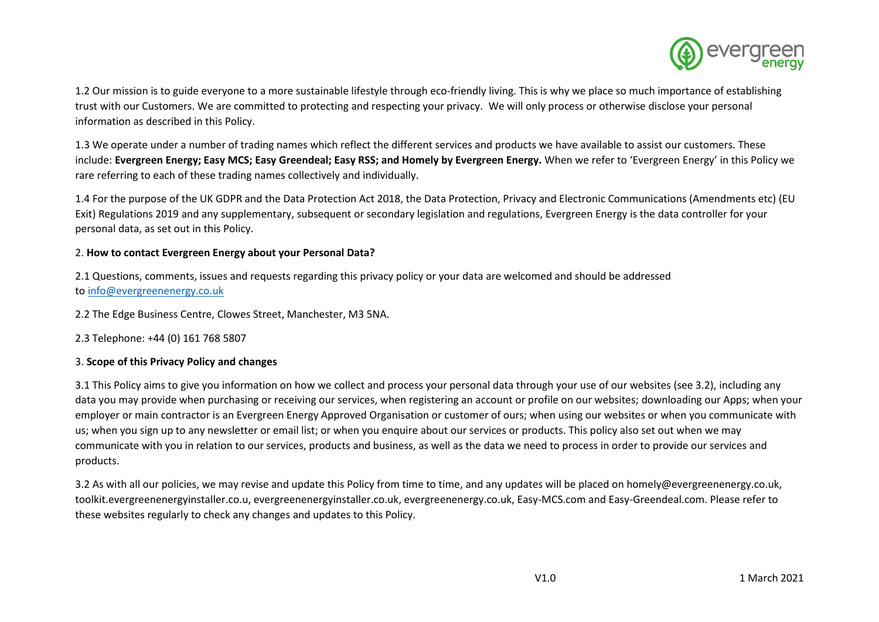

1.2 Our mission is to guide everyone to a more sustainable lifestyle through eco-friendly living. This is why we place so much importance of establishing trust with our Customers. We are committed to protecting and respecting your privacy. We will only process or otherwise disclose your personal information as described in this Policy.

1.3 We operate under a number of trading names which reflect the different services and products we have available to assist our customers. These include: **Evergreen Energy; Easy MCS; Easy Greendeal; Easy RSS; and Homely by Evergreen Energy.** When we refer to 'Evergreen Energy' in this Policy we rare referring to each of these trading names collectively and individually.

1.4 For the purpose of the UK GDPR and the Data Protection Act 2018, the Data Protection, Privacy and Electronic Communications (Amendments etc) (EU Exit) Regulations 2019 and any supplementary, subsequent or secondary legislation and regulations, Evergreen Energy is the data controller for your personal data, as set out in this Policy.

## 2. **How to contact Evergreen Energy about your Personal Data?**

2.1 Questions, comments, issues and requests regarding this privacy policy or your data are welcomed and should be addressed to [info@evergreenenergy.co.uk](mailto:privacy@evergreenenergy.co.uk)

2.2 The Edge Business Centre, Clowes Street, Manchester, M3 5NA.

2.3 Telephone: +44 (0) 161 768 5807

# 3. **Scope of this Privacy Policy and changes**

3.1 This Policy aims to give you information on how we collect and process your personal data through your use of our websites (see 3.2), including any data you may provide when purchasing or receiving our services, when registering an account or profile on our websites; downloading our Apps; when your employer or main contractor is an Evergreen Energy Approved Organisation or customer of ours; when using our websites or when you communicate with us; when you sign up to any newsletter or email list; or when you enquire about our services or products. This policy also set out when we may communicate with you in relation to our services, products and business, as well as the data we need to process in order to provide our services and products.

3.2 As with all our policies, we may revise and update this Policy from time to time, and any updates will be placed on homely@evergreenenergy.co.uk, toolkit.evergreenenergyinstaller.co.u, evergreenenergyinstaller.co.uk, evergreenenergy.co.uk, Easy-MCS.com and Easy-Greendeal.com. Please refer to these websites regularly to check any changes and updates to this Policy.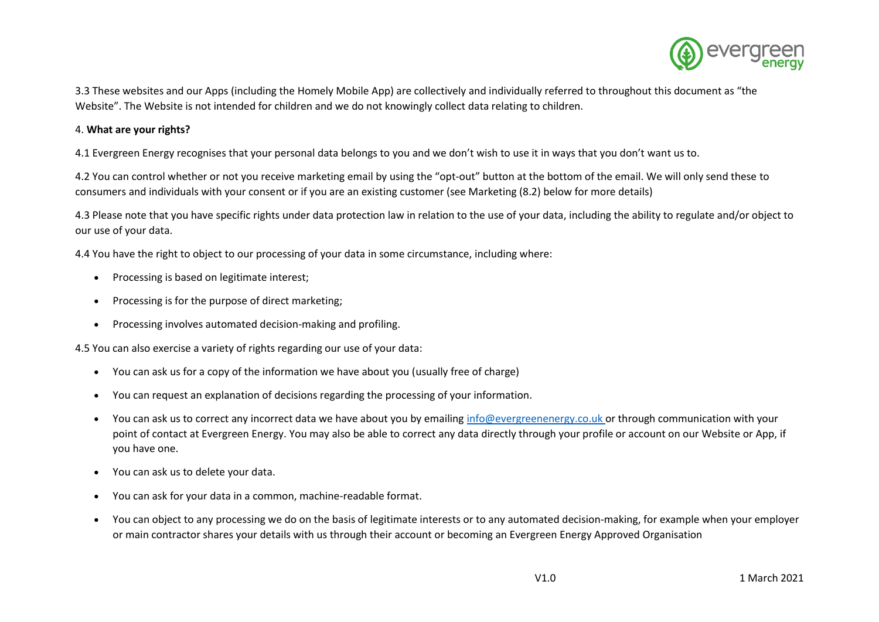

3.3 These websites and our Apps (including the Homely Mobile App) are collectively and individually referred to throughout this document as "the Website". The Website is not intended for children and we do not knowingly collect data relating to children.

## 4. **What are your rights?**

4.1 Evergreen Energy recognises that your personal data belongs to you and we don't wish to use it in ways that you don't want us to.

4.2 You can control whether or not you receive marketing email by using the "opt-out" button at the bottom of the email. We will only send these to consumers and individuals with your consent or if you are an existing customer (see Marketing (8.2) below for more details)

4.3 Please note that you have specific rights under data protection law in relation to the use of your data, including the ability to regulate and/or object to our use of your data.

4.4 You have the right to object to our processing of your data in some circumstance, including where:

- Processing is based on legitimate interest;
- Processing is for the purpose of direct marketing;
- Processing involves automated decision-making and profiling.

4.5 You can also exercise a variety of rights regarding our use of your data:

- You can ask us for a copy of the information we have about you (usually free of charge)
- You can request an explanation of decisions regarding the processing of your information.
- You can ask us to correct any incorrect data we have about you by emailing [info@evergreenenergy.co.uk](mailto:privacy@evergreenenergy.co.uk) or through communication with your point of contact at Evergreen Energy. You may also be able to correct any data directly through your profile or account on our Website or App, if you have one.
- You can ask us to delete your data.
- You can ask for your data in a common, machine-readable format.
- You can object to any processing we do on the basis of legitimate interests or to any automated decision-making, for example when your employer or main contractor shares your details with us through their account or becoming an Evergreen Energy Approved Organisation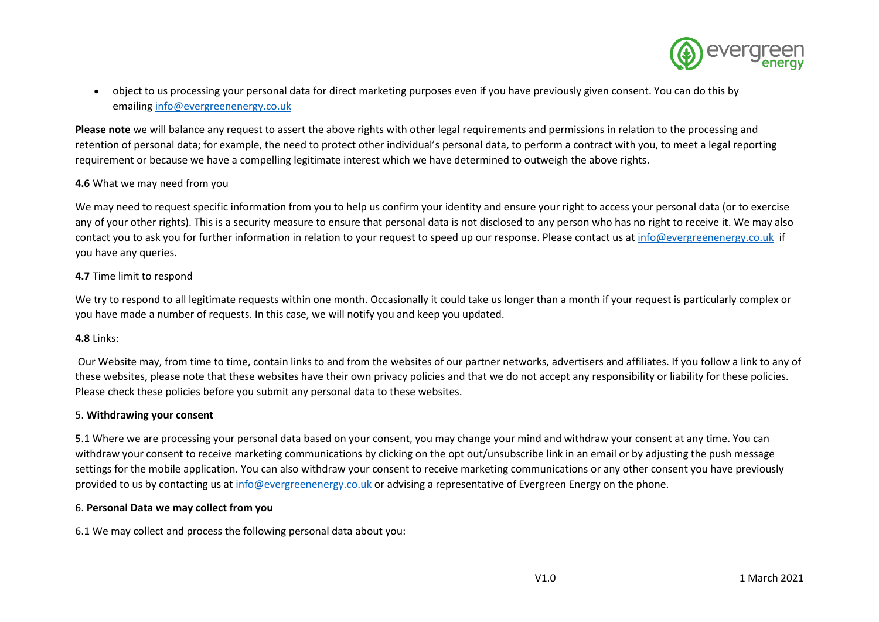

• object to us processing your personal data for direct marketing purposes even if you have previously given consent. You can do this by emailing [info@evergreenenergy.co.uk](mailto:privacy@evergreenenergy.co.uk)

**Please note** we will balance any request to assert the above rights with other legal requirements and permissions in relation to the processing and retention of personal data; for example, the need to protect other individual's personal data, to perform a contract with you, to meet a legal reporting requirement or because we have a compelling legitimate interest which we have determined to outweigh the above rights.

## **4.6** What we may need from you

We may need to request specific information from you to help us confirm your identity and ensure your right to access your personal data (or to exercise any of your other rights). This is a security measure to ensure that personal data is not disclosed to any person who has no right to receive it. We may also contact you to ask you for further information in relation to your request to speed up our response. Please contact us a[t info@evergreenenergy.co.uk](mailto:privacy@evergreenenergy.co.uk) if you have any queries.

### **4.7** Time limit to respond

We try to respond to all legitimate requests within one month. Occasionally it could take us longer than a month if your request is particularly complex or you have made a number of requests. In this case, we will notify you and keep you updated.

### **4.8** Links:

Our Website may, from time to time, contain links to and from the websites of our partner networks, advertisers and affiliates. If you follow a link to any of these websites, please note that these websites have their own privacy policies and that we do not accept any responsibility or liability for these policies. Please check these policies before you submit any personal data to these websites.

### 5. **Withdrawing your consent**

5.1 Where we are processing your personal data based on your consent, you may change your mind and withdraw your consent at any time. You can withdraw your consent to receive marketing communications by clicking on the opt out/unsubscribe link in an email or by adjusting the push message settings for the mobile application. You can also withdraw your consent to receive marketing communications or any other consent you have previously provided to us by contacting us at [info@evergreenenergy.co.uk](mailto:privacy@evergreenenergy.co.uk) or advising a representative of Evergreen Energy on the phone.

# 6. **Personal Data we may collect from you**

6.1 We may collect and process the following personal data about you: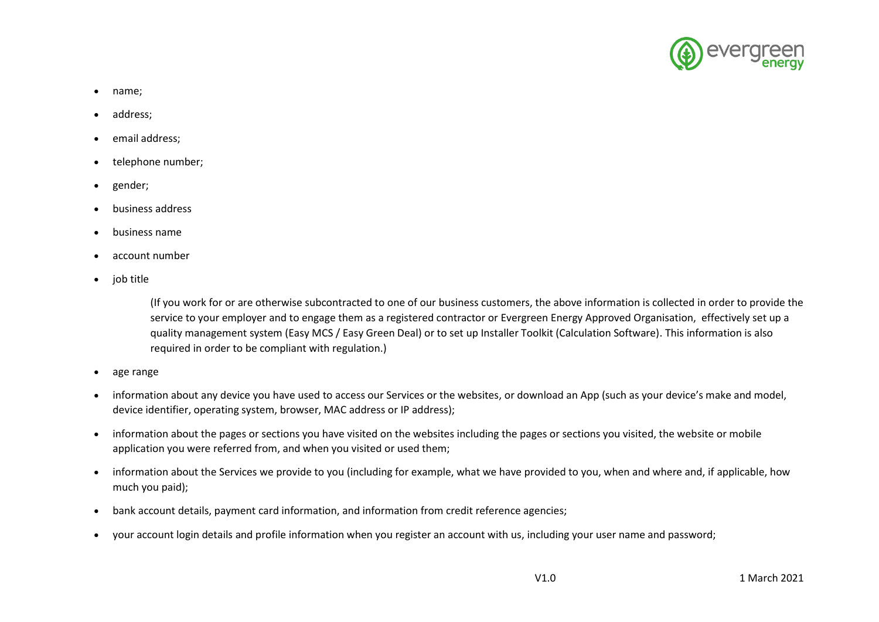

- name;
- address;
- email address:
- telephone number;
- gender;
- business address
- business name
- account number
- job title

(If you work for or are otherwise subcontracted to one of our business customers, the above information is collected in order to provide the service to your employer and to engage them as a registered contractor or Evergreen Energy Approved Organisation, effectively set up a quality management system (Easy MCS / Easy Green Deal) or to set up Installer Toolkit (Calculation Software). This information is also required in order to be compliant with regulation.)

- age range
- information about any device you have used to access our Services or the websites, or download an App (such as your device's make and model, device identifier, operating system, browser, MAC address or IP address);
- information about the pages or sections you have visited on the websites including the pages or sections you visited, the website or mobile application you were referred from, and when you visited or used them;
- information about the Services we provide to you (including for example, what we have provided to you, when and where and, if applicable, how much you paid);
- bank account details, payment card information, and information from credit reference agencies;
- your account login details and profile information when you register an account with us, including your user name and password;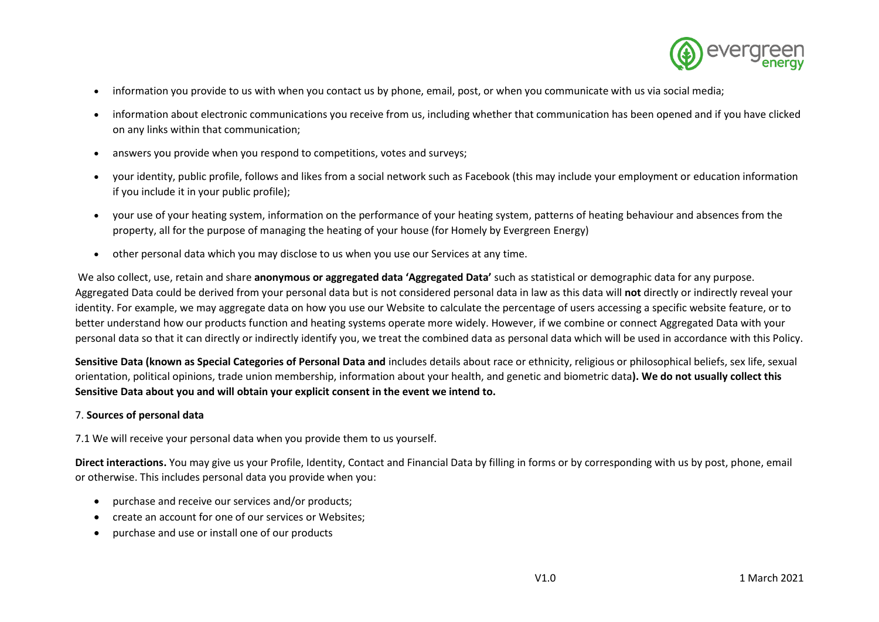

- information you provide to us with when you contact us by phone, email, post, or when you communicate with us via social media;
- information about electronic communications you receive from us, including whether that communication has been opened and if you have clicked on any links within that communication;
- answers you provide when you respond to competitions, votes and surveys;
- your identity, public profile, follows and likes from a social network such as Facebook (this may include your employment or education information if you include it in your public profile);
- your use of your heating system, information on the performance of your heating system, patterns of heating behaviour and absences from the property, all for the purpose of managing the heating of your house (for Homely by Evergreen Energy)
- other personal data which you may disclose to us when you use our Services at any time.

We also collect, use, retain and share **anonymous or aggregated data 'Aggregated Data'** such as statistical or demographic data for any purpose. Aggregated Data could be derived from your personal data but is not considered personal data in law as this data will **not** directly or indirectly reveal your identity. For example, we may aggregate data on how you use our Website to calculate the percentage of users accessing a specific website feature, or to better understand how our products function and heating systems operate more widely. However, if we combine or connect Aggregated Data with your personal data so that it can directly or indirectly identify you, we treat the combined data as personal data which will be used in accordance with this Policy.

**Sensitive Data (known as Special Categories of Personal Data and** includes details about race or ethnicity, religious or philosophical beliefs, sex life, sexual orientation, political opinions, trade union membership, information about your health, and genetic and biometric data**). We do not usually collect this Sensitive Data about you and will obtain your explicit consent in the event we intend to.**

### 7. **Sources of personal data**

7.1 We will receive your personal data when you provide them to us yourself.

**Direct interactions.** You may give us your Profile, Identity, Contact and Financial Data by filling in forms or by corresponding with us by post, phone, email or otherwise. This includes personal data you provide when you:

- purchase and receive our services and/or products;
- create an account for one of our services or Websites;
- purchase and use or install one of our products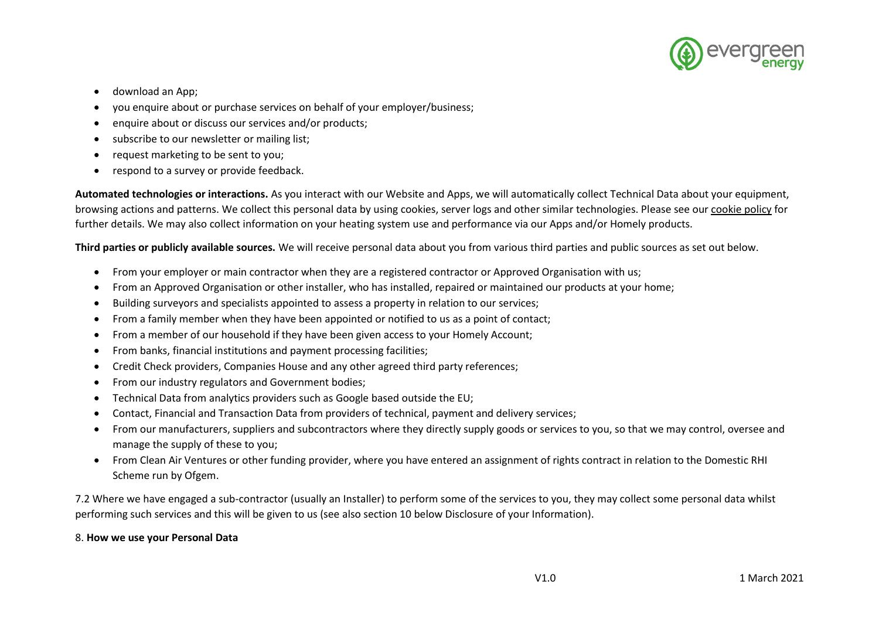

- download an App;
- you enquire about or purchase services on behalf of your employer/business;
- enquire about or discuss our services and/or products;
- subscribe to our newsletter or mailing list;
- request marketing to be sent to you;
- respond to a survey or provide feedback.

**Automated technologies or interactions.** As you interact with our Website and Apps, we will automatically collect Technical Data about your equipment, browsing actions and patterns. We collect this personal data by using cookies, server logs and other similar technologies. Please see our cookie policy for further details. We may also collect information on your heating system use and performance via our Apps and/or Homely products.

**Third parties or publicly available sources.** We will receive personal data about you from various third parties and public sources as set out below.

- From your employer or main contractor when they are a registered contractor or Approved Organisation with us;
- From an Approved Organisation or other installer, who has installed, repaired or maintained our products at your home;
- Building surveyors and specialists appointed to assess a property in relation to our services;
- From a family member when they have been appointed or notified to us as a point of contact;
- From a member of our household if they have been given access to your Homely Account;
- From banks, financial institutions and payment processing facilities;
- Credit Check providers, Companies House and any other agreed third party references;
- From our industry regulators and Government bodies;
- Technical Data from analytics providers such as Google based outside the EU;
- Contact, Financial and Transaction Data from providers of technical, payment and delivery services;
- From our manufacturers, suppliers and subcontractors where they directly supply goods or services to you, so that we may control, oversee and manage the supply of these to you;
- From Clean Air Ventures or other funding provider, where you have entered an assignment of rights contract in relation to the Domestic RHI Scheme run by Ofgem.

7.2 Where we have engaged a sub-contractor (usually an Installer) to perform some of the services to you, they may collect some personal data whilst performing such services and this will be given to us (see also section 10 below Disclosure of your Information).

# 8. **How we use your Personal Data**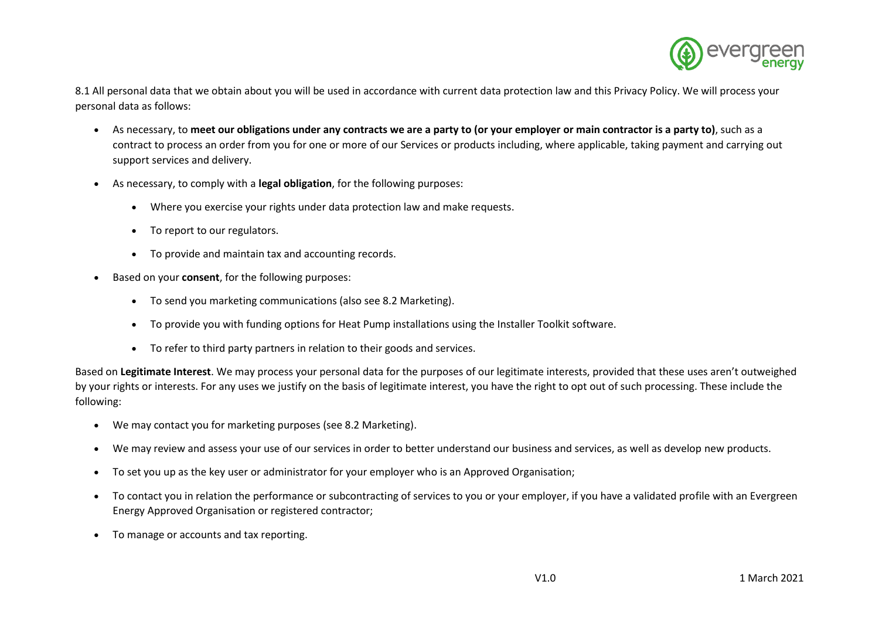

8.1 All personal data that we obtain about you will be used in accordance with current data protection law and this Privacy Policy. We will process your personal data as follows:

- As necessary, to **meet our obligations under any contracts we are a party to (or your employer or main contractor is a party to)**, such as a contract to process an order from you for one or more of our Services or products including, where applicable, taking payment and carrying out support services and delivery.
- As necessary, to comply with a **legal obligation**, for the following purposes:
	- Where you exercise your rights under data protection law and make requests.
	- To report to our regulators.
	- To provide and maintain tax and accounting records.
- Based on your **consent**, for the following purposes:
	- To send you marketing communications (also see 8.2 Marketing).
	- To provide you with funding options for Heat Pump installations using the Installer Toolkit software.
	- To refer to third party partners in relation to their goods and services.

Based on **Legitimate Interest**. We may process your personal data for the purposes of our legitimate interests, provided that these uses aren't outweighed by your rights or interests. For any uses we justify on the basis of legitimate interest, you have the right to opt out of such processing. These include the following:

- We may contact you for marketing purposes (see 8.2 Marketing).
- We may review and assess your use of our services in order to better understand our business and services, as well as develop new products.
- To set you up as the key user or administrator for your employer who is an Approved Organisation;
- To contact you in relation the performance or subcontracting of services to you or your employer, if you have a validated profile with an Evergreen Energy Approved Organisation or registered contractor;
- To manage or accounts and tax reporting.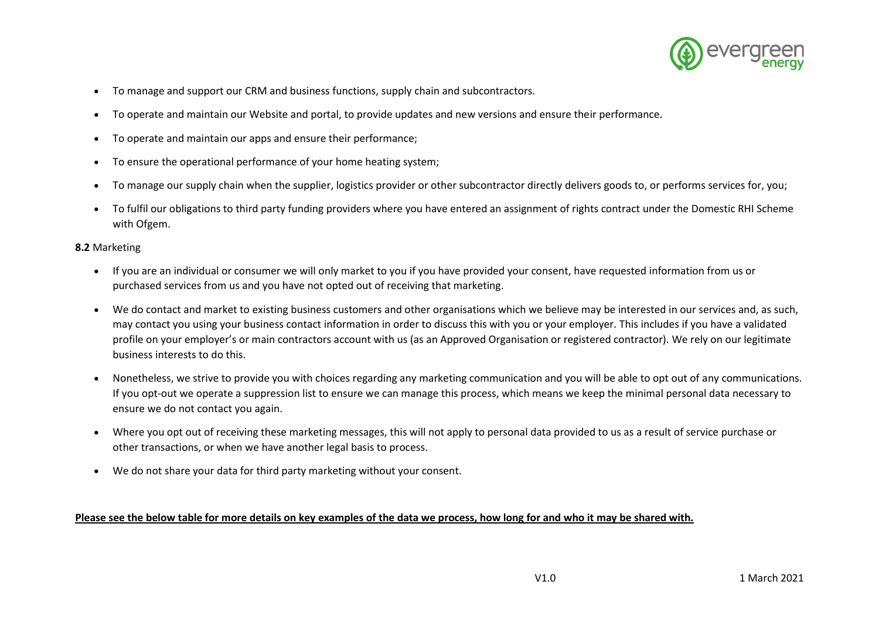

- To manage and support our CRM and business functions, supply chain and subcontractors.
- To operate and maintain our Website and portal, to provide updates and new versions and ensure their performance.
- To operate and maintain our apps and ensure their performance;
- To ensure the operational performance of your home heating system;
- To manage our supply chain when the supplier, logistics provider or other subcontractor directly delivers goods to, or performs services for, you;
- To fulfil our obligations to third party funding providers where you have entered an assignment of rights contract under the Domestic RHI Scheme with Ofgem.

### **8.2** Marketing

- If you are an individual or consumer we will only market to you if you have provided your consent, have requested information from us or purchased services from us and you have not opted out of receiving that marketing.
- We do contact and market to existing business customers and other organisations which we believe may be interested in our services and, as such, may contact you using your business contact information in order to discuss this with you or your employer. This includes if you have a validated profile on your employer's or main contractors account with us (as an Approved Organisation or registered contractor). We rely on our legitimate business interests to do this.
- Nonetheless, we strive to provide you with choices regarding any marketing communication and you will be able to opt out of any communications. If you opt-out we operate a suppression list to ensure we can manage this process, which means we keep the minimal personal data necessary to ensure we do not contact you again.
- Where you opt out of receiving these marketing messages, this will not apply to personal data provided to us as a result of service purchase or other transactions, or when we have another legal basis to process.
- We do not share your data for third party marketing without your consent.

### **Please see the below table for more details on key examples of the data we process, how long for and who it may be shared with.**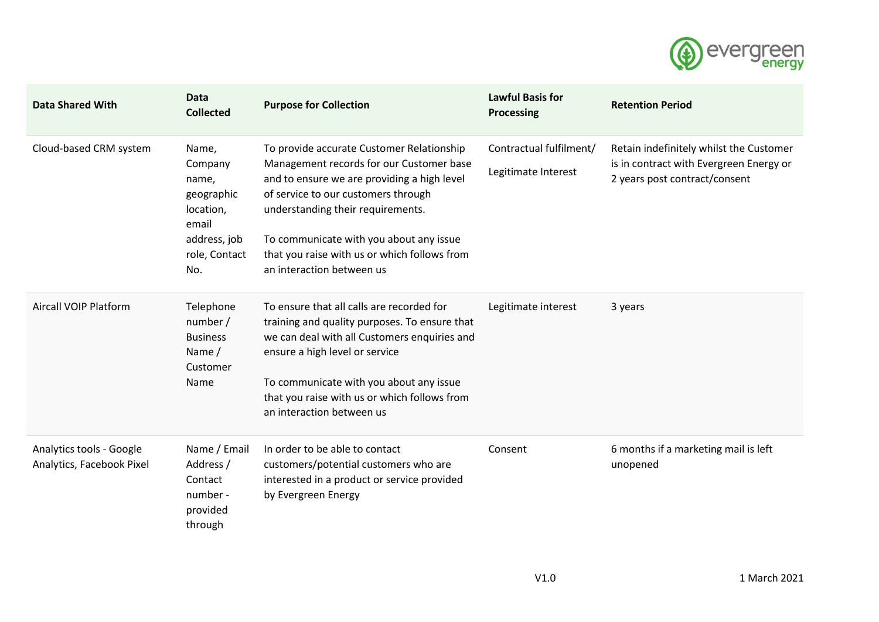

| <b>Data Shared With</b>                               | <b>Data</b><br><b>Collected</b>                                                                       | <b>Purpose for Collection</b>                                                                                                                                                                                                                                                                                                            | <b>Lawful Basis for</b><br>Processing          | <b>Retention Period</b>                                                                                             |
|-------------------------------------------------------|-------------------------------------------------------------------------------------------------------|------------------------------------------------------------------------------------------------------------------------------------------------------------------------------------------------------------------------------------------------------------------------------------------------------------------------------------------|------------------------------------------------|---------------------------------------------------------------------------------------------------------------------|
| Cloud-based CRM system                                | Name,<br>Company<br>name,<br>geographic<br>location,<br>email<br>address, job<br>role, Contact<br>No. | To provide accurate Customer Relationship<br>Management records for our Customer base<br>and to ensure we are providing a high level<br>of service to our customers through<br>understanding their requirements.<br>To communicate with you about any issue<br>that you raise with us or which follows from<br>an interaction between us | Contractual fulfilment/<br>Legitimate Interest | Retain indefinitely whilst the Customer<br>is in contract with Evergreen Energy or<br>2 years post contract/consent |
| <b>Aircall VOIP Platform</b>                          | Telephone<br>number /<br><b>Business</b><br>Name /<br>Customer<br>Name                                | To ensure that all calls are recorded for<br>training and quality purposes. To ensure that<br>we can deal with all Customers enquiries and<br>ensure a high level or service<br>To communicate with you about any issue<br>that you raise with us or which follows from<br>an interaction between us                                     | Legitimate interest                            | 3 years                                                                                                             |
| Analytics tools - Google<br>Analytics, Facebook Pixel | Name / Email<br>Address /<br>Contact<br>number -<br>provided<br>through                               | In order to be able to contact<br>customers/potential customers who are<br>interested in a product or service provided<br>by Evergreen Energy                                                                                                                                                                                            | Consent                                        | 6 months if a marketing mail is left<br>unopened                                                                    |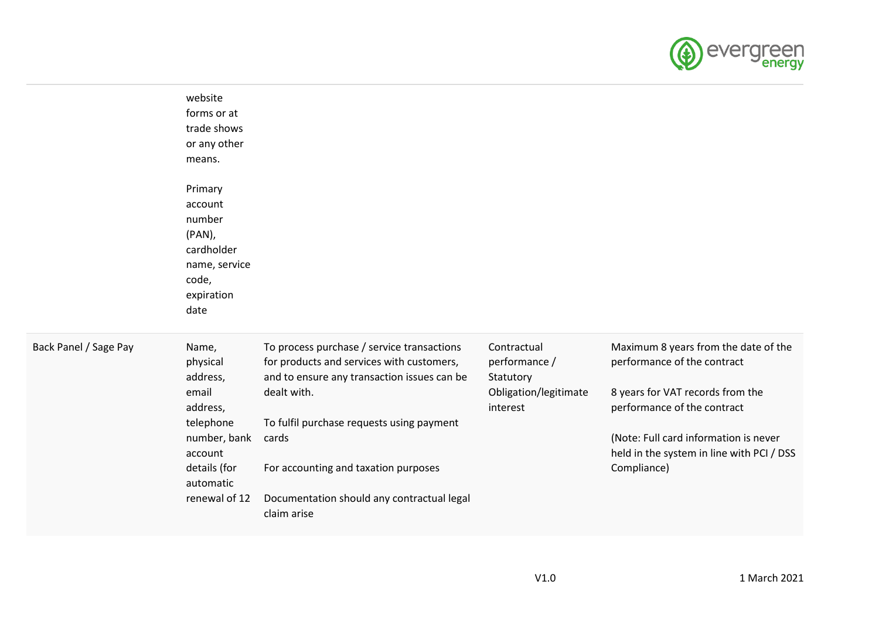

|                       | website<br>forms or at<br>trade shows<br>or any other<br>means.                                                                          |                                                                                                                                                                                                                                                                                                                  |                                                                                |                                                                                                                                                                                                                                             |
|-----------------------|------------------------------------------------------------------------------------------------------------------------------------------|------------------------------------------------------------------------------------------------------------------------------------------------------------------------------------------------------------------------------------------------------------------------------------------------------------------|--------------------------------------------------------------------------------|---------------------------------------------------------------------------------------------------------------------------------------------------------------------------------------------------------------------------------------------|
|                       | Primary<br>account<br>number<br>$(PAN)$ ,<br>cardholder<br>name, service<br>code,<br>expiration<br>date                                  |                                                                                                                                                                                                                                                                                                                  |                                                                                |                                                                                                                                                                                                                                             |
| Back Panel / Sage Pay | Name,<br>physical<br>address,<br>email<br>address,<br>telephone<br>number, bank<br>account<br>details (for<br>automatic<br>renewal of 12 | To process purchase / service transactions<br>for products and services with customers,<br>and to ensure any transaction issues can be<br>dealt with.<br>To fulfil purchase requests using payment<br>cards<br>For accounting and taxation purposes<br>Documentation should any contractual legal<br>claim arise | Contractual<br>performance /<br>Statutory<br>Obligation/legitimate<br>interest | Maximum 8 years from the date of the<br>performance of the contract<br>8 years for VAT records from the<br>performance of the contract<br>(Note: Full card information is never<br>held in the system in line with PCI / DSS<br>Compliance) |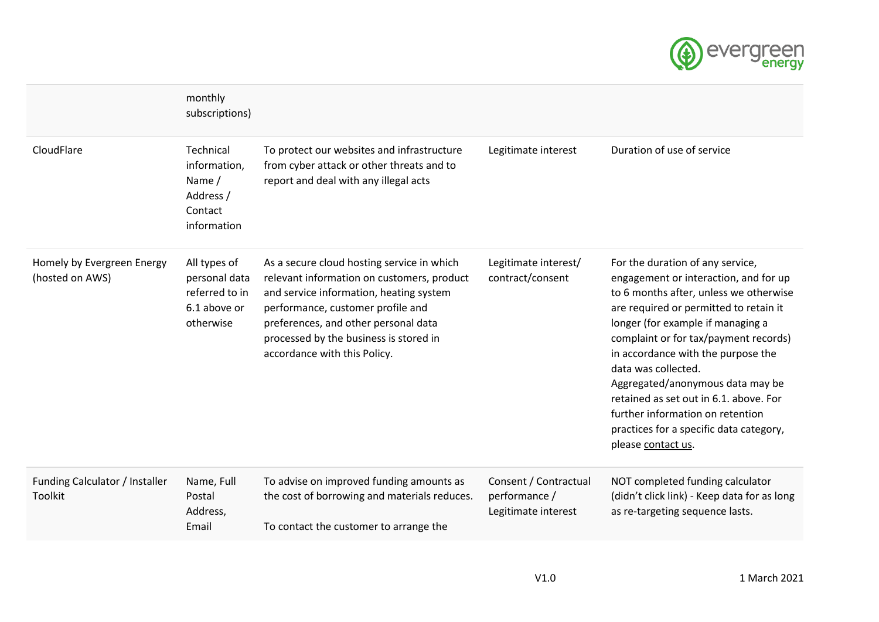

|                                               | monthly<br>subscriptions)                                                    |                                                                                                                                                                                                                                                                                            |                                                               |                                                                                                                                                                                                                                                                                                                                                                                                                                                                                             |
|-----------------------------------------------|------------------------------------------------------------------------------|--------------------------------------------------------------------------------------------------------------------------------------------------------------------------------------------------------------------------------------------------------------------------------------------|---------------------------------------------------------------|---------------------------------------------------------------------------------------------------------------------------------------------------------------------------------------------------------------------------------------------------------------------------------------------------------------------------------------------------------------------------------------------------------------------------------------------------------------------------------------------|
| CloudFlare                                    | Technical<br>information,<br>Name /<br>Address /<br>Contact<br>information   | To protect our websites and infrastructure<br>from cyber attack or other threats and to<br>report and deal with any illegal acts                                                                                                                                                           | Legitimate interest                                           | Duration of use of service                                                                                                                                                                                                                                                                                                                                                                                                                                                                  |
| Homely by Evergreen Energy<br>(hosted on AWS) | All types of<br>personal data<br>referred to in<br>6.1 above or<br>otherwise | As a secure cloud hosting service in which<br>relevant information on customers, product<br>and service information, heating system<br>performance, customer profile and<br>preferences, and other personal data<br>processed by the business is stored in<br>accordance with this Policy. | Legitimate interest/<br>contract/consent                      | For the duration of any service,<br>engagement or interaction, and for up<br>to 6 months after, unless we otherwise<br>are required or permitted to retain it<br>longer (for example if managing a<br>complaint or for tax/payment records)<br>in accordance with the purpose the<br>data was collected.<br>Aggregated/anonymous data may be<br>retained as set out in 6.1. above. For<br>further information on retention<br>practices for a specific data category,<br>please contact us. |
| Funding Calculator / Installer<br>Toolkit     | Name, Full<br>Postal<br>Address,<br>Email                                    | To advise on improved funding amounts as<br>the cost of borrowing and materials reduces.<br>To contact the customer to arrange the                                                                                                                                                         | Consent / Contractual<br>performance /<br>Legitimate interest | NOT completed funding calculator<br>(didn't click link) - Keep data for as long<br>as re-targeting sequence lasts.                                                                                                                                                                                                                                                                                                                                                                          |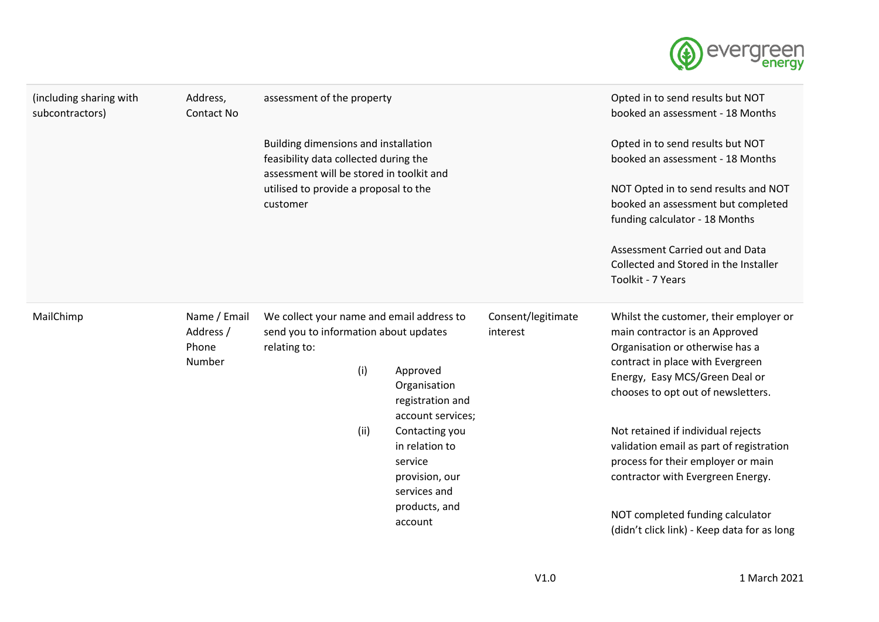

| (including sharing with<br>subcontractors) | Address,<br>Contact No                       | assessment of the property                                                                                                                                                     |                                | Opted in to send results but NOT<br>booked an assessment - 18 Months                                                                                                                                                    |
|--------------------------------------------|----------------------------------------------|--------------------------------------------------------------------------------------------------------------------------------------------------------------------------------|--------------------------------|-------------------------------------------------------------------------------------------------------------------------------------------------------------------------------------------------------------------------|
|                                            |                                              | Building dimensions and installation<br>feasibility data collected during the<br>assessment will be stored in toolkit and<br>utilised to provide a proposal to the<br>customer |                                | Opted in to send results but NOT<br>booked an assessment - 18 Months                                                                                                                                                    |
|                                            |                                              |                                                                                                                                                                                |                                | NOT Opted in to send results and NOT<br>booked an assessment but completed<br>funding calculator - 18 Months                                                                                                            |
|                                            |                                              |                                                                                                                                                                                |                                | Assessment Carried out and Data<br>Collected and Stored in the Installer<br>Toolkit - 7 Years                                                                                                                           |
| MailChimp                                  | Name / Email<br>Address /<br>Phone<br>Number | We collect your name and email address to<br>send you to information about updates<br>relating to:                                                                             | Consent/legitimate<br>interest | Whilst the customer, their employer or<br>main contractor is an Approved<br>Organisation or otherwise has a<br>contract in place with Evergreen<br>Energy, Easy MCS/Green Deal or<br>chooses to opt out of newsletters. |
|                                            |                                              | (i)<br>Approved<br>Organisation<br>registration and                                                                                                                            | account services;              |                                                                                                                                                                                                                         |
|                                            |                                              | (ii)<br>Contacting you<br>in relation to<br>service<br>provision, our                                                                                                          |                                | Not retained if individual rejects<br>validation email as part of registration<br>process for their employer or main<br>contractor with Evergreen Energy.                                                               |
|                                            |                                              | services and<br>products, and<br>account                                                                                                                                       |                                | NOT completed funding calculator<br>(didn't click link) - Keep data for as long                                                                                                                                         |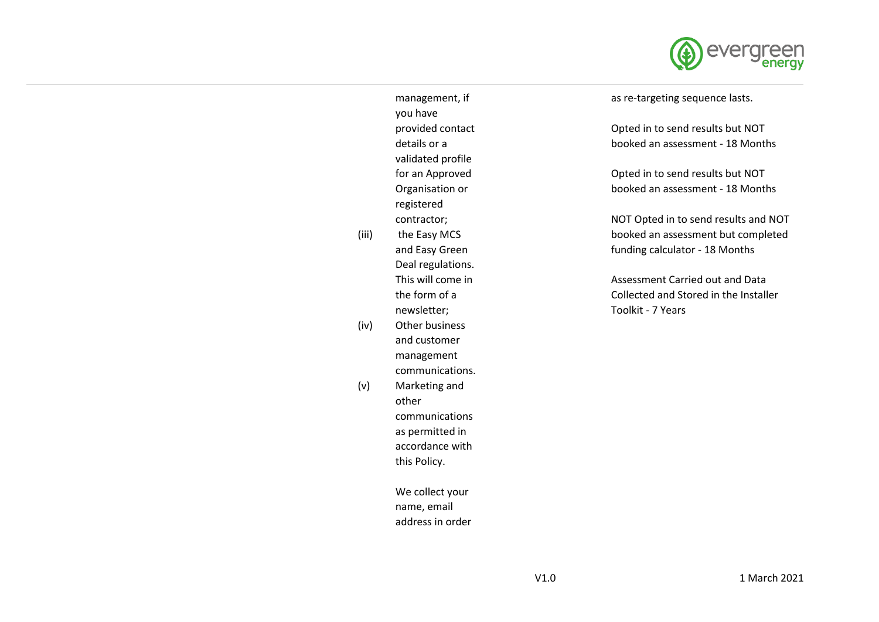

management, if you have provided contact details or a validated profile for an Approved Organisation or registered contractor;

- (iii) the Easy MCS and Easy Green Deal regulations. This will come in the form of a newsletter;
- (iv) Other business and customer management communications.
- (v) Marketing and other communications as permitted in accordance with this Policy.

We collect your name, email address in order as re-targeting sequence lasts.

Opted in to send results but NOT booked an assessment - 18 Months

Opted in to send results but NOT booked an assessment - 18 Months

NOT Opted in to send results and NOT booked an assessment but completed funding calculator - 18 Months

Assessment Carried out and Data Collected and Stored in the Installer Toolkit - 7 Years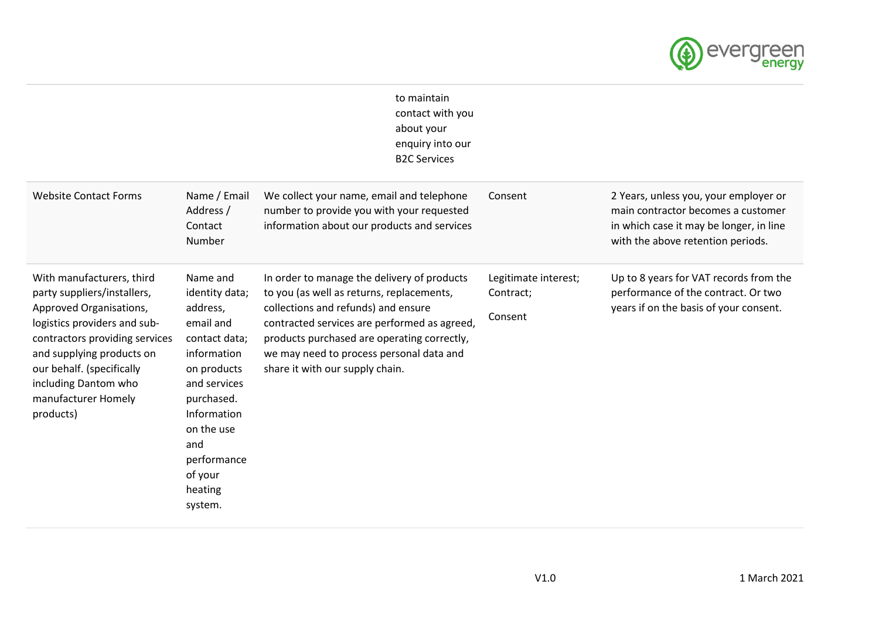

|                                                                                                                                                                                                                                                                             |                                                                                                                                                                                                                      | to maintain<br>contact with you<br>about your<br>enquiry into our<br><b>B2C Services</b>                                                                                                                                                                                                                      |                                              |                                                                                                                                                             |
|-----------------------------------------------------------------------------------------------------------------------------------------------------------------------------------------------------------------------------------------------------------------------------|----------------------------------------------------------------------------------------------------------------------------------------------------------------------------------------------------------------------|---------------------------------------------------------------------------------------------------------------------------------------------------------------------------------------------------------------------------------------------------------------------------------------------------------------|----------------------------------------------|-------------------------------------------------------------------------------------------------------------------------------------------------------------|
| <b>Website Contact Forms</b>                                                                                                                                                                                                                                                | Name / Email<br>Address /<br>Contact<br>Number                                                                                                                                                                       | We collect your name, email and telephone<br>number to provide you with your requested<br>information about our products and services                                                                                                                                                                         | Consent                                      | 2 Years, unless you, your employer or<br>main contractor becomes a customer<br>in which case it may be longer, in line<br>with the above retention periods. |
| With manufacturers, third<br>party suppliers/installers,<br>Approved Organisations,<br>logistics providers and sub-<br>contractors providing services<br>and supplying products on<br>our behalf. (specifically<br>including Dantom who<br>manufacturer Homely<br>products) | Name and<br>identity data;<br>address,<br>email and<br>contact data;<br>information<br>on products<br>and services<br>purchased.<br>Information<br>on the use<br>and<br>performance<br>of your<br>heating<br>system. | In order to manage the delivery of products<br>to you (as well as returns, replacements,<br>collections and refunds) and ensure<br>contracted services are performed as agreed,<br>products purchased are operating correctly,<br>we may need to process personal data and<br>share it with our supply chain. | Legitimate interest;<br>Contract;<br>Consent | Up to 8 years for VAT records from the<br>performance of the contract. Or two<br>years if on the basis of your consent.                                     |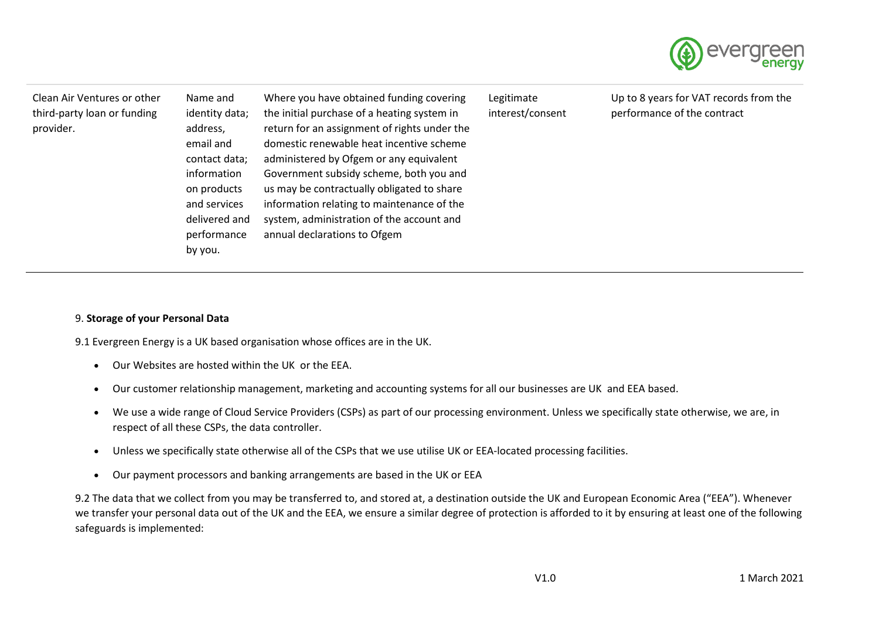

| Clean Air Ventures or other<br>third-party loan or funding<br>provider. | Name and<br>identity data;<br>address,<br>email and<br>contact data;<br>information<br>on products<br>and services<br>delivered and<br>performance<br>by you. | Where you have obtained funding covering<br>the initial purchase of a heating system in<br>return for an assignment of rights under the<br>domestic renewable heat incentive scheme<br>administered by Ofgem or any equivalent<br>Government subsidy scheme, both you and<br>us may be contractually obligated to share<br>information relating to maintenance of the<br>system, administration of the account and<br>annual declarations to Ofgem | Legitimate<br>interest/consent | Up to 8 years for VAT records from the<br>performance of the contract |
|-------------------------------------------------------------------------|---------------------------------------------------------------------------------------------------------------------------------------------------------------|----------------------------------------------------------------------------------------------------------------------------------------------------------------------------------------------------------------------------------------------------------------------------------------------------------------------------------------------------------------------------------------------------------------------------------------------------|--------------------------------|-----------------------------------------------------------------------|
|-------------------------------------------------------------------------|---------------------------------------------------------------------------------------------------------------------------------------------------------------|----------------------------------------------------------------------------------------------------------------------------------------------------------------------------------------------------------------------------------------------------------------------------------------------------------------------------------------------------------------------------------------------------------------------------------------------------|--------------------------------|-----------------------------------------------------------------------|

### 9. **Storage of your Personal Data**

9.1 Evergreen Energy is a UK based organisation whose offices are in the UK.

- Our Websites are hosted within the UK or the EEA.
- Our customer relationship management, marketing and accounting systems for all our businesses are UK and EEA based.
- We use a wide range of Cloud Service Providers (CSPs) as part of our processing environment. Unless we specifically state otherwise, we are, in respect of all these CSPs, the data controller.
- Unless we specifically state otherwise all of the CSPs that we use utilise UK or EEA-located processing facilities.
- Our payment processors and banking arrangements are based in the UK or EEA

9.2 The data that we collect from you may be transferred to, and stored at, a destination outside the UK and European Economic Area ("EEA"). Whenever we transfer your personal data out of the UK and the EEA, we ensure a similar degree of protection is afforded to it by ensuring at least one of the following safeguards is implemented: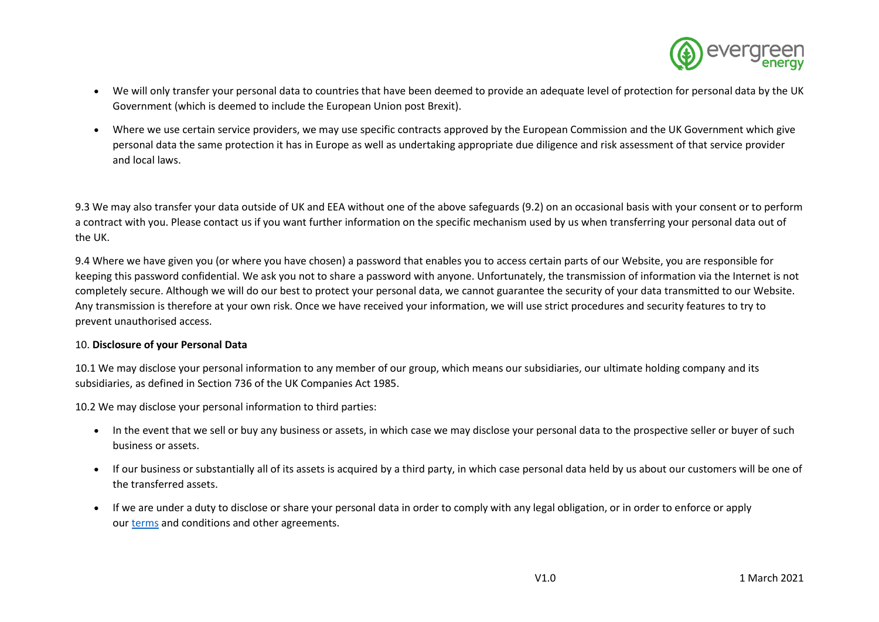

- We will only transfer your personal data to countries that have been deemed to provide an adequate level of protection for personal data by the UK Government (which is deemed to include the European Union post Brexit).
- Where we use certain service providers, we may use specific contracts approved by the European Commission and the UK Government which give personal data the same protection it has in Europe as well as undertaking appropriate due diligence and risk assessment of that service provider and local laws.

9.3 We may also transfer your data outside of UK and EEA without one of the above safeguards (9.2) on an occasional basis with your consent or to perform a contract with you. Please contact us if you want further information on the specific mechanism used by us when transferring your personal data out of the UK.

9.4 Where we have given you (or where you have chosen) a password that enables you to access certain parts of our Website, you are responsible for keeping this password confidential. We ask you not to share a password with anyone. Unfortunately, the transmission of information via the Internet is not completely secure. Although we will do our best to protect your personal data, we cannot guarantee the security of your data transmitted to our Website. Any transmission is therefore at your own risk. Once we have received your information, we will use strict procedures and security features to try to prevent unauthorised access.

### 10. **Disclosure of your Personal Data**

10.1 We may disclose your personal information to any member of our group, which means our subsidiaries, our ultimate holding company and its subsidiaries, as defined in Section 736 of the UK Companies Act 1985.

10.2 We may disclose your personal information to third parties:

- In the event that we sell or buy any business or assets, in which case we may disclose your personal data to the prospective seller or buyer of such business or assets.
- If our business or substantially all of its assets is acquired by a third party, in which case personal data held by us about our customers will be one of the transferred assets.
- If we are under a duty to disclose or share your personal data in order to comply with any legal obligation, or in order to enforce or apply our [terms](https://www.evergreenenergy.co.uk/terms-of-use) and conditions and other agreements.